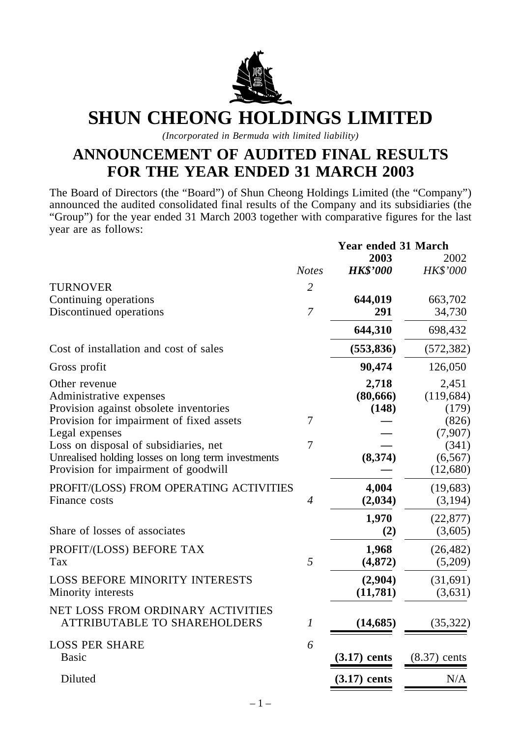

# **SHUN CHEONG HOLDINGS LIMITED**

*(Incorporated in Bermuda with limited liability)*

# **ANNOUNCEMENT OF AUDITED FINAL RESULTS FOR THE YEAR ENDED 31 MARCH 2003**

The Board of Directors (the "Board") of Shun Cheong Holdings Limited (the "Company") announced the audited consolidated final results of the Company and its subsidiaries (the "Group") for the year ended 31 March 2003 together with comparative figures for the last year are as follows:

|                                                                                            |                | <b>Year ended 31 March</b> |                      |  |
|--------------------------------------------------------------------------------------------|----------------|----------------------------|----------------------|--|
|                                                                                            |                | 2003                       | 2002                 |  |
|                                                                                            | <b>Notes</b>   | <b>HK\$'000</b>            | <b>HK\$'000</b>      |  |
| <b>TURNOVER</b>                                                                            | $\overline{2}$ |                            |                      |  |
| Continuing operations                                                                      |                | 644,019                    | 663,702              |  |
| Discontinued operations                                                                    | $\overline{7}$ | 291                        | 34,730               |  |
|                                                                                            |                | 644,310                    | 698,432              |  |
| Cost of installation and cost of sales                                                     |                | (553, 836)                 | (572, 382)           |  |
| Gross profit                                                                               |                | 90,474                     | 126,050              |  |
| Other revenue                                                                              |                | 2,718                      | 2,451                |  |
| Administrative expenses                                                                    |                | (80, 666)                  | (119, 684)           |  |
| Provision against obsolete inventories                                                     |                | (148)                      | (179)                |  |
| Provision for impairment of fixed assets                                                   | 7              |                            | (826)                |  |
| Legal expenses                                                                             |                |                            | (7,907)              |  |
| Loss on disposal of subsidiaries, net                                                      | 7              |                            | (341)                |  |
| Unrealised holding losses on long term investments<br>Provision for impairment of goodwill |                | (8,374)                    | (6, 567)<br>(12,680) |  |
| PROFIT/(LOSS) FROM OPERATING ACTIVITIES                                                    |                | 4,004                      | (19,683)             |  |
| Finance costs                                                                              | $\overline{4}$ | (2,034)                    | (3,194)              |  |
|                                                                                            |                | 1,970                      | (22, 877)            |  |
| Share of losses of associates                                                              |                | (2)                        | (3,605)              |  |
| PROFIT/(LOSS) BEFORE TAX                                                                   |                | 1,968                      | (26, 482)            |  |
| Tax                                                                                        | 5              | (4, 872)                   | (5,209)              |  |
| <b>LOSS BEFORE MINORITY INTERESTS</b>                                                      |                | (2,904)                    | (31,691)             |  |
| Minority interests                                                                         |                | (11,781)                   | (3,631)              |  |
| NET LOSS FROM ORDINARY ACTIVITIES<br><b>ATTRIBUTABLE TO SHAREHOLDERS</b>                   | 1              | (14, 685)                  | (35, 322)            |  |
| <b>LOSS PER SHARE</b>                                                                      | 6              |                            |                      |  |
| <b>Basic</b>                                                                               |                | $(3.17)$ cents             | $(8.37)$ cents       |  |
| Diluted                                                                                    |                | $(3.17)$ cents             | N/A                  |  |
|                                                                                            |                |                            |                      |  |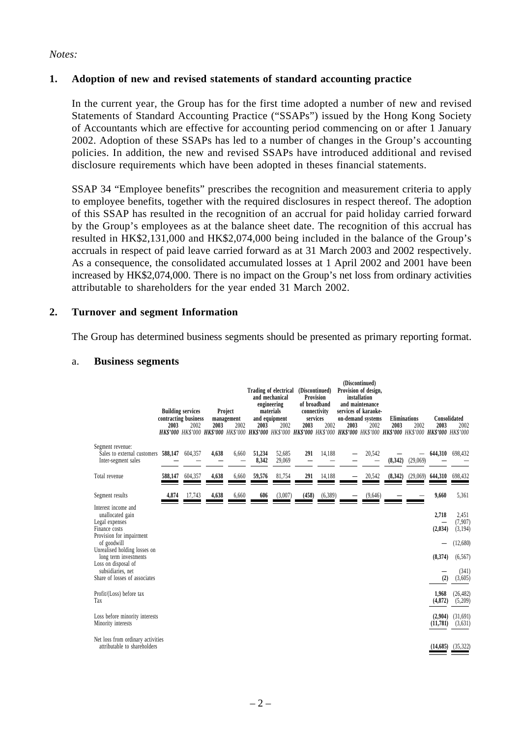#### *Notes:*

#### **1. Adoption of new and revised statements of standard accounting practice**

In the current year, the Group has for the first time adopted a number of new and revised Statements of Standard Accounting Practice ("SSAPs") issued by the Hong Kong Society of Accountants which are effective for accounting period commencing on or after 1 January 2002. Adoption of these SSAPs has led to a number of changes in the Group's accounting policies. In addition, the new and revised SSAPs have introduced additional and revised disclosure requirements which have been adopted in theses financial statements.

SSAP 34 "Employee benefits" prescribes the recognition and measurement criteria to apply to employee benefits, together with the required disclosures in respect thereof. The adoption of this SSAP has resulted in the recognition of an accrual for paid holiday carried forward by the Group's employees as at the balance sheet date. The recognition of this accrual has resulted in HK\$2,131,000 and HK\$2,074,000 being included in the balance of the Group's accruals in respect of paid leave carried forward as at 31 March 2003 and 2002 respectively. As a consequence, the consolidated accumulated losses at 1 April 2002 and 2001 have been increased by HK\$2,074,000. There is no impact on the Group's net loss from ordinary activities attributable to shareholders for the year ended 31 March 2002.

#### **2. Turnover and segment Information**

The Group has determined business segments should be presented as primary reporting format.

| a. |  | <b>Business segments</b> |
|----|--|--------------------------|
|----|--|--------------------------|

|                                                                                                                                    | 2003    | <b>Building services</b><br>contracting business<br>2002 | 2003  | Project<br>management<br>2002 | 2003            | Trading of electrical<br>and mechanical<br>engineering<br>materials<br>and equipment<br>2002<br>HK\$'000 HK\$'000 HK\$'000 HK\$'000 HK\$'000 HK\$'000 HK\$'000 HK\$'000 HK\$'000 HK\$'000 HK\$'000 HK\$'000 HK\$'000 HK\$'000 | 2003  | (Discontinued)<br><b>Provision</b><br>of broadband<br>connectivity<br>services<br>2002 | 2003 | (Discontinued)<br>Provision of design,<br>installation<br>and maintenance<br>services of karaoke-<br>on-demand systems<br>2002 | 2003    | <b>Eliminations</b><br>2002 | Consolidated<br>2003 | 2002                                     |
|------------------------------------------------------------------------------------------------------------------------------------|---------|----------------------------------------------------------|-------|-------------------------------|-----------------|-------------------------------------------------------------------------------------------------------------------------------------------------------------------------------------------------------------------------------|-------|----------------------------------------------------------------------------------------|------|--------------------------------------------------------------------------------------------------------------------------------|---------|-----------------------------|----------------------|------------------------------------------|
| Segment revenue:<br>Sales to external customers<br>Inter-segment sales                                                             | 588,147 | 604,357                                                  | 4,638 | 6,660                         | 51,234<br>8,342 | 52,685<br>29,069                                                                                                                                                                                                              | 291   | 14,188                                                                                 |      | 20,542                                                                                                                         | (8,342) | (29,069)                    | 644,310              | 698,432                                  |
| Total revenue                                                                                                                      | 588.147 | 604,357                                                  | 4,638 | 6,660                         | 59,576          | 81,754                                                                                                                                                                                                                        | 291   | 14,188                                                                                 |      | 20,542                                                                                                                         | (8,342) | (29,069)                    | 644,310              | 698,432                                  |
| Segment results                                                                                                                    | 4,874   | 17,743                                                   | 4,638 | 6,660                         | 606             | (3,007)                                                                                                                                                                                                                       | (458) | (6,389)                                                                                |      | (9,646)                                                                                                                        |         |                             | 9,660                | 5,361                                    |
| Interest income and<br>unallocated gain<br>Legal expenses<br>Finance costs<br>Provision for impairment<br>of goodwill              |         |                                                          |       |                               |                 |                                                                                                                                                                                                                               |       |                                                                                        |      |                                                                                                                                |         |                             | 2,718<br>(2,034)     | 2,451<br>(7,907)<br>(3, 194)<br>(12,680) |
| Unrealised holding losses on<br>long term investments<br>Loss on disposal of<br>subsidiaries, net<br>Share of losses of associates |         |                                                          |       |                               |                 |                                                                                                                                                                                                                               |       |                                                                                        |      |                                                                                                                                |         |                             | (8,374)<br>(2)       | (6, 567)<br>(341)<br>(3,605)             |
| Profit/(Loss) before tax<br>Tax                                                                                                    |         |                                                          |       |                               |                 |                                                                                                                                                                                                                               |       |                                                                                        |      |                                                                                                                                |         |                             | 1,968<br>(4, 872)    | (26, 482)<br>(5,209)                     |
| Loss before minority interests<br>Minority interests                                                                               |         |                                                          |       |                               |                 |                                                                                                                                                                                                                               |       |                                                                                        |      |                                                                                                                                |         |                             | (2,904)<br>(11,781)  | (31,691)<br>(3,631)                      |
| Net loss from ordinary activities<br>attributable to shareholders                                                                  |         |                                                          |       |                               |                 |                                                                                                                                                                                                                               |       |                                                                                        |      |                                                                                                                                |         |                             | (14,685)             | (35, 322)                                |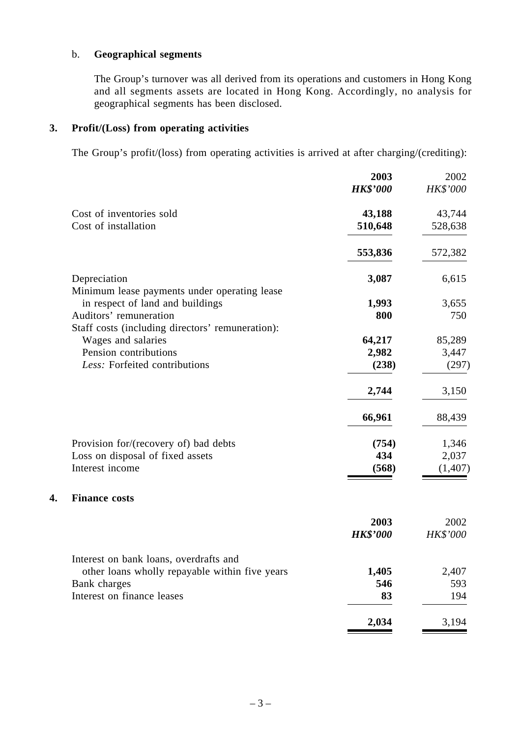### b. **Geographical segments**

The Group's turnover was all derived from its operations and customers in Hong Kong and all segments assets are located in Hong Kong. Accordingly, no analysis for geographical segments has been disclosed.

#### **3. Profit/(Loss) from operating activities**

**4. Finance costs**

The Group's profit/(loss) from operating activities is arrived at after charging/(crediting):

|                                                  | 2003            | 2002     |
|--------------------------------------------------|-----------------|----------|
|                                                  | <b>HK\$'000</b> | HK\$'000 |
| Cost of inventories sold                         | 43,188          | 43,744   |
| Cost of installation                             | 510,648         | 528,638  |
|                                                  | 553,836         | 572,382  |
| Depreciation                                     | 3,087           | 6,615    |
| Minimum lease payments under operating lease     |                 |          |
| in respect of land and buildings                 | 1,993           | 3,655    |
| Auditors' remuneration                           | 800             | 750      |
| Staff costs (including directors' remuneration): |                 |          |
| Wages and salaries                               | 64,217          | 85,289   |
| Pension contributions                            | 2,982           | 3,447    |
| Less: Forfeited contributions                    | (238)           | (297)    |
|                                                  | 2,744           | 3,150    |
|                                                  | 66,961          | 88,439   |
| Provision for/(recovery of) bad debts            | (754)           | 1,346    |
| Loss on disposal of fixed assets                 | 434             | 2,037    |
| Interest income                                  | (568)           | (1, 407) |
| <b>Finance costs</b>                             |                 |          |
|                                                  | 2003            | 2002     |
|                                                  | <b>HK\$'000</b> | HK\$'000 |
| Interest on bank loans, overdrafts and           |                 |          |
| other loans wholly repayable within five years   | 1,405           | 2,407    |
| Bank charges                                     | 546             | 593      |
| Interest on finance leases                       | 83              | 194      |
|                                                  | 2,034           | 3,194    |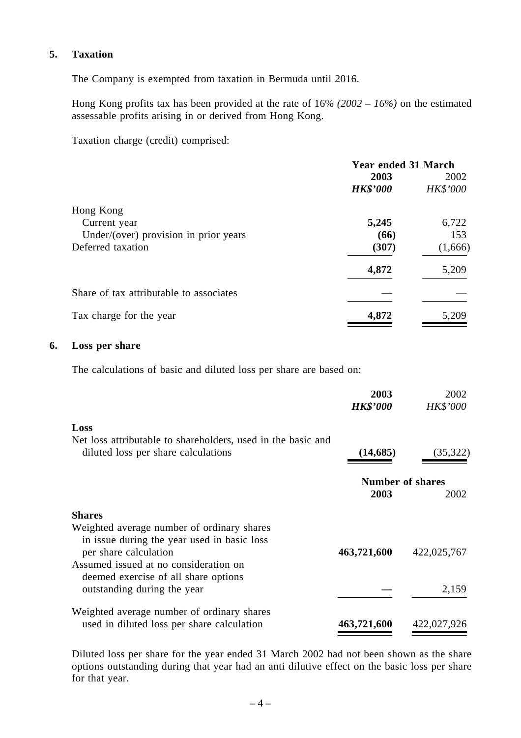### **5. Taxation**

The Company is exempted from taxation in Bermuda until 2016.

Hong Kong profits tax has been provided at the rate of 16% *(2002 – 16%)* on the estimated assessable profits arising in or derived from Hong Kong.

Taxation charge (credit) comprised:

|                                         | <b>Year ended 31 March</b> |          |  |  |
|-----------------------------------------|----------------------------|----------|--|--|
|                                         | 2003                       | 2002     |  |  |
|                                         | <b>HK\$'000</b>            | HK\$'000 |  |  |
| Hong Kong                               |                            |          |  |  |
| Current year                            | 5,245                      | 6,722    |  |  |
| Under/(over) provision in prior years   | (66)                       | 153      |  |  |
| Deferred taxation                       | (307)                      | (1,666)  |  |  |
|                                         | 4,872                      | 5,209    |  |  |
| Share of tax attributable to associates |                            |          |  |  |
| Tax charge for the year                 | 4,872                      | 5,209    |  |  |

#### **6. Loss per share**

The calculations of basic and diluted loss per share are based on:

|                                                                                                                    | 2003<br><b>HK\$'000</b> | 2002<br><b>HK\$'000</b>         |
|--------------------------------------------------------------------------------------------------------------------|-------------------------|---------------------------------|
| Loss                                                                                                               |                         |                                 |
| Net loss attributable to shareholders, used in the basic and<br>diluted loss per share calculations                | (14, 685)               | (35,322)                        |
|                                                                                                                    | 2003                    | <b>Number of shares</b><br>2002 |
| <b>Shares</b>                                                                                                      |                         |                                 |
| Weighted average number of ordinary shares<br>in issue during the year used in basic loss<br>per share calculation | 463,721,600             | 422,025,767                     |
| Assumed issued at no consideration on<br>deemed exercise of all share options<br>outstanding during the year       |                         | 2,159                           |
| Weighted average number of ordinary shares<br>used in diluted loss per share calculation                           | 463,721,600             | 422,027,926                     |

Diluted loss per share for the year ended 31 March 2002 had not been shown as the share options outstanding during that year had an anti dilutive effect on the basic loss per share for that year.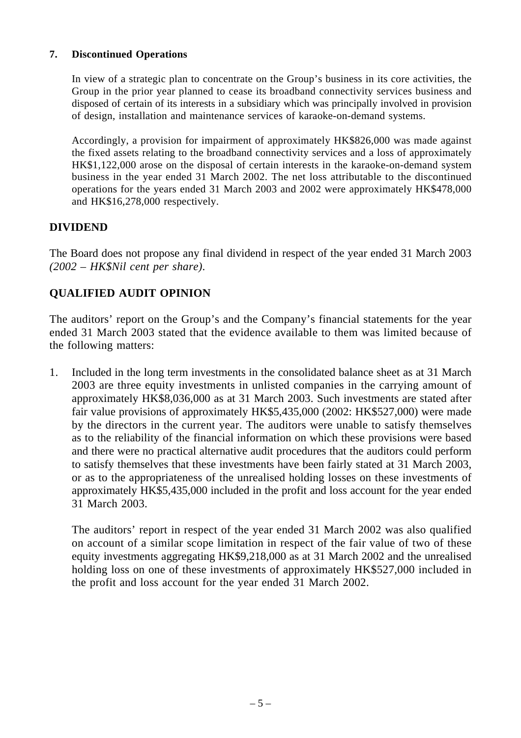### **7. Discontinued Operations**

In view of a strategic plan to concentrate on the Group's business in its core activities, the Group in the prior year planned to cease its broadband connectivity services business and disposed of certain of its interests in a subsidiary which was principally involved in provision of design, installation and maintenance services of karaoke-on-demand systems.

Accordingly, a provision for impairment of approximately HK\$826,000 was made against the fixed assets relating to the broadband connectivity services and a loss of approximately HK\$1,122,000 arose on the disposal of certain interests in the karaoke-on-demand system business in the year ended 31 March 2002. The net loss attributable to the discontinued operations for the years ended 31 March 2003 and 2002 were approximately HK\$478,000 and HK\$16,278,000 respectively.

### **DIVIDEND**

The Board does not propose any final dividend in respect of the year ended 31 March 2003 *(2002 – HK\$Nil cent per share)*.

## **QUALIFIED AUDIT OPINION**

The auditors' report on the Group's and the Company's financial statements for the year ended 31 March 2003 stated that the evidence available to them was limited because of the following matters:

1. Included in the long term investments in the consolidated balance sheet as at 31 March 2003 are three equity investments in unlisted companies in the carrying amount of approximately HK\$8,036,000 as at 31 March 2003. Such investments are stated after fair value provisions of approximately HK\$5,435,000 (2002: HK\$527,000) were made by the directors in the current year. The auditors were unable to satisfy themselves as to the reliability of the financial information on which these provisions were based and there were no practical alternative audit procedures that the auditors could perform to satisfy themselves that these investments have been fairly stated at 31 March 2003, or as to the appropriateness of the unrealised holding losses on these investments of approximately HK\$5,435,000 included in the profit and loss account for the year ended 31 March 2003.

The auditors' report in respect of the year ended 31 March 2002 was also qualified on account of a similar scope limitation in respect of the fair value of two of these equity investments aggregating HK\$9,218,000 as at 31 March 2002 and the unrealised holding loss on one of these investments of approximately HK\$527,000 included in the profit and loss account for the year ended 31 March 2002.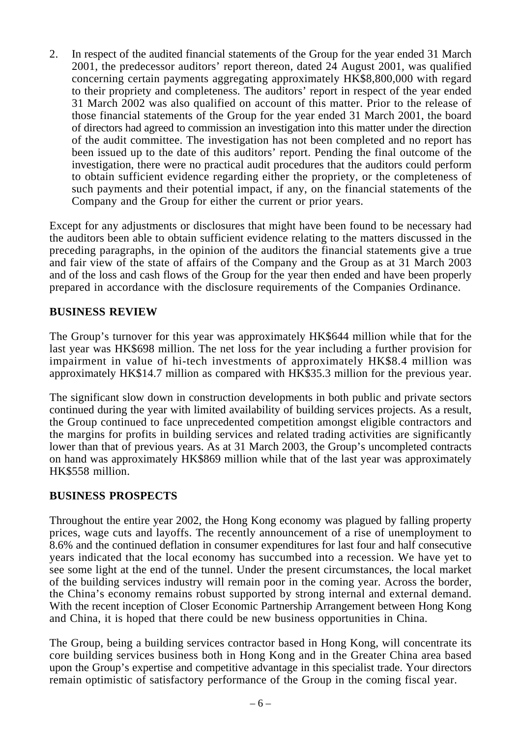2. In respect of the audited financial statements of the Group for the year ended 31 March 2001, the predecessor auditors' report thereon, dated 24 August 2001, was qualified concerning certain payments aggregating approximately HK\$8,800,000 with regard to their propriety and completeness. The auditors' report in respect of the year ended 31 March 2002 was also qualified on account of this matter. Prior to the release of those financial statements of the Group for the year ended 31 March 2001, the board of directors had agreed to commission an investigation into this matter under the direction of the audit committee. The investigation has not been completed and no report has been issued up to the date of this auditors' report. Pending the final outcome of the investigation, there were no practical audit procedures that the auditors could perform to obtain sufficient evidence regarding either the propriety, or the completeness of such payments and their potential impact, if any, on the financial statements of the Company and the Group for either the current or prior years.

Except for any adjustments or disclosures that might have been found to be necessary had the auditors been able to obtain sufficient evidence relating to the matters discussed in the preceding paragraphs, in the opinion of the auditors the financial statements give a true and fair view of the state of affairs of the Company and the Group as at 31 March 2003 and of the loss and cash flows of the Group for the year then ended and have been properly prepared in accordance with the disclosure requirements of the Companies Ordinance.

### **BUSINESS REVIEW**

The Group's turnover for this year was approximately HK\$644 million while that for the last year was HK\$698 million. The net loss for the year including a further provision for impairment in value of hi-tech investments of approximately HK\$8.4 million was approximately HK\$14.7 million as compared with HK\$35.3 million for the previous year.

The significant slow down in construction developments in both public and private sectors continued during the year with limited availability of building services projects. As a result, the Group continued to face unprecedented competition amongst eligible contractors and the margins for profits in building services and related trading activities are significantly lower than that of previous years. As at 31 March 2003, the Group's uncompleted contracts on hand was approximately HK\$869 million while that of the last year was approximately HK\$558 million.

### **BUSINESS PROSPECTS**

Throughout the entire year 2002, the Hong Kong economy was plagued by falling property prices, wage cuts and layoffs. The recently announcement of a rise of unemployment to 8.6% and the continued deflation in consumer expenditures for last four and half consecutive years indicated that the local economy has succumbed into a recession. We have yet to see some light at the end of the tunnel. Under the present circumstances, the local market of the building services industry will remain poor in the coming year. Across the border, the China's economy remains robust supported by strong internal and external demand. With the recent inception of Closer Economic Partnership Arrangement between Hong Kong and China, it is hoped that there could be new business opportunities in China.

The Group, being a building services contractor based in Hong Kong, will concentrate its core building services business both in Hong Kong and in the Greater China area based upon the Group's expertise and competitive advantage in this specialist trade. Your directors remain optimistic of satisfactory performance of the Group in the coming fiscal year.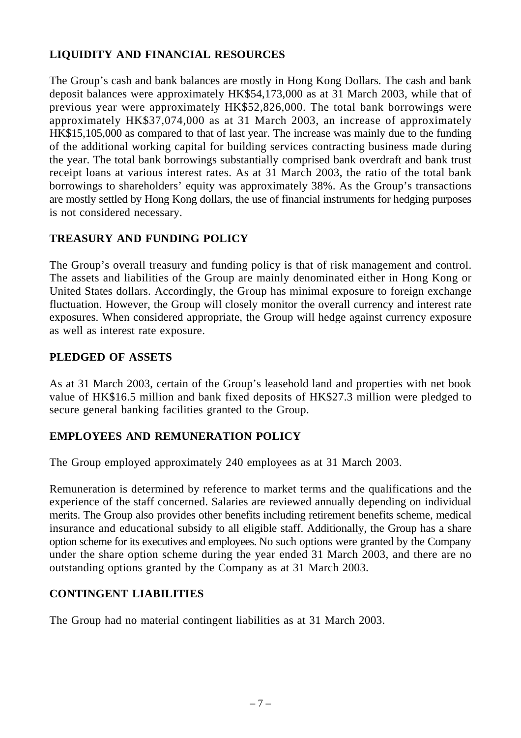# **LIQUIDITY AND FINANCIAL RESOURCES**

The Group's cash and bank balances are mostly in Hong Kong Dollars. The cash and bank deposit balances were approximately HK\$54,173,000 as at 31 March 2003, while that of previous year were approximately HK\$52,826,000. The total bank borrowings were approximately HK\$37,074,000 as at 31 March 2003, an increase of approximately HK\$15,105,000 as compared to that of last year. The increase was mainly due to the funding of the additional working capital for building services contracting business made during the year. The total bank borrowings substantially comprised bank overdraft and bank trust receipt loans at various interest rates. As at 31 March 2003, the ratio of the total bank borrowings to shareholders' equity was approximately 38%. As the Group's transactions are mostly settled by Hong Kong dollars, the use of financial instruments for hedging purposes is not considered necessary.

# **TREASURY AND FUNDING POLICY**

The Group's overall treasury and funding policy is that of risk management and control. The assets and liabilities of the Group are mainly denominated either in Hong Kong or United States dollars. Accordingly, the Group has minimal exposure to foreign exchange fluctuation. However, the Group will closely monitor the overall currency and interest rate exposures. When considered appropriate, the Group will hedge against currency exposure as well as interest rate exposure.

### **PLEDGED OF ASSETS**

As at 31 March 2003, certain of the Group's leasehold land and properties with net book value of HK\$16.5 million and bank fixed deposits of HK\$27.3 million were pledged to secure general banking facilities granted to the Group.

## **EMPLOYEES AND REMUNERATION POLICY**

The Group employed approximately 240 employees as at 31 March 2003.

Remuneration is determined by reference to market terms and the qualifications and the experience of the staff concerned. Salaries are reviewed annually depending on individual merits. The Group also provides other benefits including retirement benefits scheme, medical insurance and educational subsidy to all eligible staff. Additionally, the Group has a share option scheme for its executives and employees. No such options were granted by the Company under the share option scheme during the year ended 31 March 2003, and there are no outstanding options granted by the Company as at 31 March 2003.

## **CONTINGENT LIABILITIES**

The Group had no material contingent liabilities as at 31 March 2003.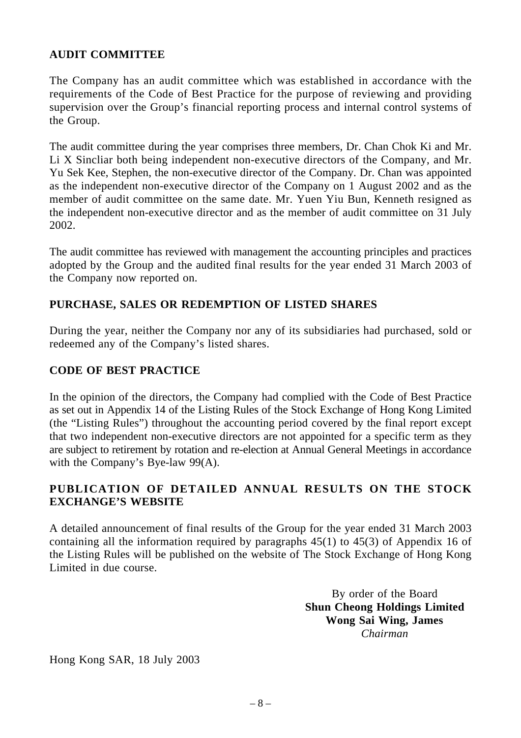### **AUDIT COMMITTEE**

The Company has an audit committee which was established in accordance with the requirements of the Code of Best Practice for the purpose of reviewing and providing supervision over the Group's financial reporting process and internal control systems of the Group.

The audit committee during the year comprises three members, Dr. Chan Chok Ki and Mr. Li X Sincliar both being independent non-executive directors of the Company, and Mr. Yu Sek Kee, Stephen, the non-executive director of the Company. Dr. Chan was appointed as the independent non-executive director of the Company on 1 August 2002 and as the member of audit committee on the same date. Mr. Yuen Yiu Bun, Kenneth resigned as the independent non-executive director and as the member of audit committee on 31 July 2002.

The audit committee has reviewed with management the accounting principles and practices adopted by the Group and the audited final results for the year ended 31 March 2003 of the Company now reported on.

### **PURCHASE, SALES OR REDEMPTION OF LISTED SHARES**

During the year, neither the Company nor any of its subsidiaries had purchased, sold or redeemed any of the Company's listed shares.

### **CODE OF BEST PRACTICE**

In the opinion of the directors, the Company had complied with the Code of Best Practice as set out in Appendix 14 of the Listing Rules of the Stock Exchange of Hong Kong Limited (the "Listing Rules") throughout the accounting period covered by the final report except that two independent non-executive directors are not appointed for a specific term as they are subject to retirement by rotation and re-election at Annual General Meetings in accordance with the Company's Bye-law 99(A).

### **PUBLICATION OF DETAILED ANNUAL RESULTS ON THE STOCK EXCHANGE'S WEBSITE**

A detailed announcement of final results of the Group for the year ended 31 March 2003 containing all the information required by paragraphs 45(1) to 45(3) of Appendix 16 of the Listing Rules will be published on the website of The Stock Exchange of Hong Kong Limited in due course.

> By order of the Board **Shun Cheong Holdings Limited Wong Sai Wing, James** *Chairman*

Hong Kong SAR, 18 July 2003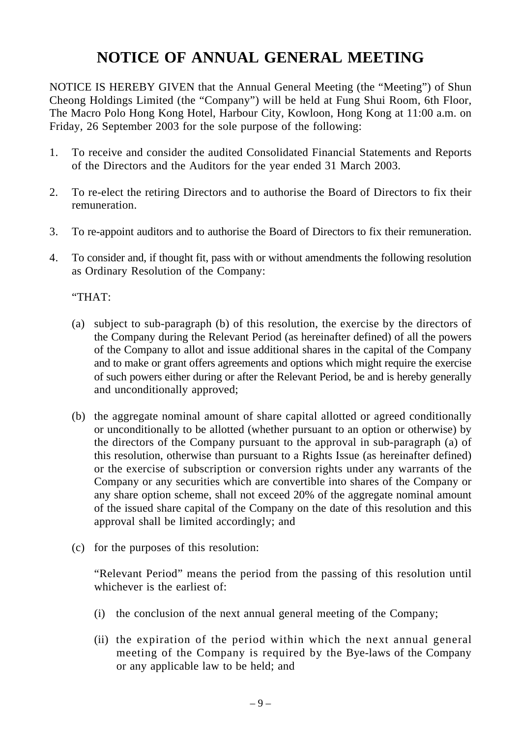# **NOTICE OF ANNUAL GENERAL MEETING**

NOTICE IS HEREBY GIVEN that the Annual General Meeting (the "Meeting") of Shun Cheong Holdings Limited (the "Company") will be held at Fung Shui Room, 6th Floor, The Macro Polo Hong Kong Hotel, Harbour City, Kowloon, Hong Kong at 11:00 a.m. on Friday, 26 September 2003 for the sole purpose of the following:

- 1. To receive and consider the audited Consolidated Financial Statements and Reports of the Directors and the Auditors for the year ended 31 March 2003.
- 2. To re-elect the retiring Directors and to authorise the Board of Directors to fix their remuneration.
- 3. To re-appoint auditors and to authorise the Board of Directors to fix their remuneration.
- 4. To consider and, if thought fit, pass with or without amendments the following resolution as Ordinary Resolution of the Company:

### "THAT:

- (a) subject to sub-paragraph (b) of this resolution, the exercise by the directors of the Company during the Relevant Period (as hereinafter defined) of all the powers of the Company to allot and issue additional shares in the capital of the Company and to make or grant offers agreements and options which might require the exercise of such powers either during or after the Relevant Period, be and is hereby generally and unconditionally approved;
- (b) the aggregate nominal amount of share capital allotted or agreed conditionally or unconditionally to be allotted (whether pursuant to an option or otherwise) by the directors of the Company pursuant to the approval in sub-paragraph (a) of this resolution, otherwise than pursuant to a Rights Issue (as hereinafter defined) or the exercise of subscription or conversion rights under any warrants of the Company or any securities which are convertible into shares of the Company or any share option scheme, shall not exceed 20% of the aggregate nominal amount of the issued share capital of the Company on the date of this resolution and this approval shall be limited accordingly; and
- (c) for the purposes of this resolution:

"Relevant Period" means the period from the passing of this resolution until whichever is the earliest of:

- (i) the conclusion of the next annual general meeting of the Company;
- (ii) the expiration of the period within which the next annual general meeting of the Company is required by the Bye-laws of the Company or any applicable law to be held; and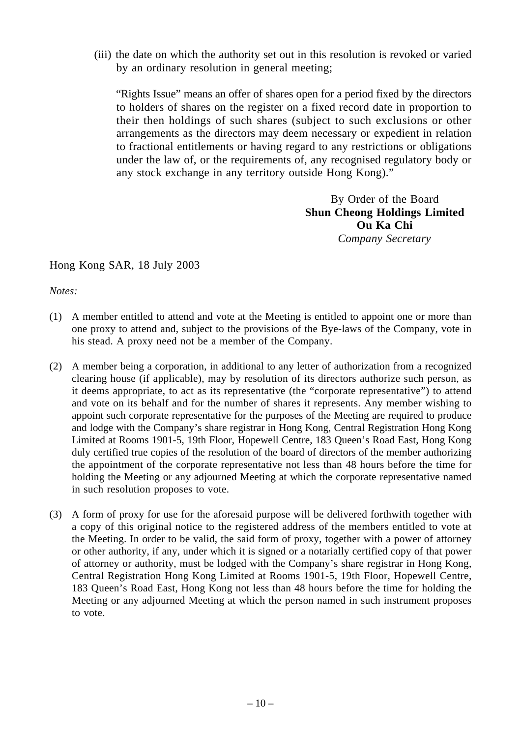(iii) the date on which the authority set out in this resolution is revoked or varied by an ordinary resolution in general meeting;

"Rights Issue" means an offer of shares open for a period fixed by the directors to holders of shares on the register on a fixed record date in proportion to their then holdings of such shares (subject to such exclusions or other arrangements as the directors may deem necessary or expedient in relation to fractional entitlements or having regard to any restrictions or obligations under the law of, or the requirements of, any recognised regulatory body or any stock exchange in any territory outside Hong Kong)."

> By Order of the Board **Shun Cheong Holdings Limited Ou Ka Chi** *Company Secretary*

### Hong Kong SAR, 18 July 2003

*Notes:*

- (1) A member entitled to attend and vote at the Meeting is entitled to appoint one or more than one proxy to attend and, subject to the provisions of the Bye-laws of the Company, vote in his stead. A proxy need not be a member of the Company.
- (2) A member being a corporation, in additional to any letter of authorization from a recognized clearing house (if applicable), may by resolution of its directors authorize such person, as it deems appropriate, to act as its representative (the "corporate representative") to attend and vote on its behalf and for the number of shares it represents. Any member wishing to appoint such corporate representative for the purposes of the Meeting are required to produce and lodge with the Company's share registrar in Hong Kong, Central Registration Hong Kong Limited at Rooms 1901-5, 19th Floor, Hopewell Centre, 183 Queen's Road East, Hong Kong duly certified true copies of the resolution of the board of directors of the member authorizing the appointment of the corporate representative not less than 48 hours before the time for holding the Meeting or any adjourned Meeting at which the corporate representative named in such resolution proposes to vote.
- (3) A form of proxy for use for the aforesaid purpose will be delivered forthwith together with a copy of this original notice to the registered address of the members entitled to vote at the Meeting. In order to be valid, the said form of proxy, together with a power of attorney or other authority, if any, under which it is signed or a notarially certified copy of that power of attorney or authority, must be lodged with the Company's share registrar in Hong Kong, Central Registration Hong Kong Limited at Rooms 1901-5, 19th Floor, Hopewell Centre, 183 Queen's Road East, Hong Kong not less than 48 hours before the time for holding the Meeting or any adjourned Meeting at which the person named in such instrument proposes to vote.